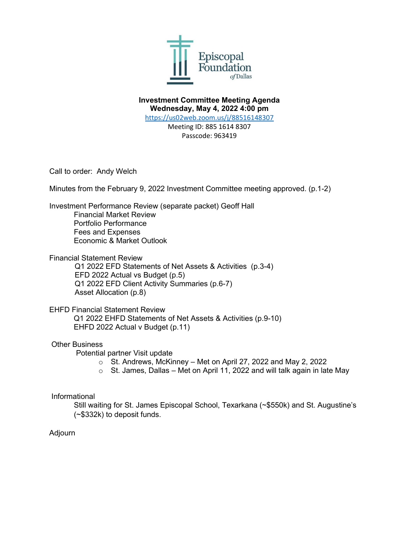

**Investment Committee Meeting Agenda Wednesday, May 4, 2022 4:00 pm**

<https://us02web.zoom.us/j/88516148307>

Meeting ID: 885 1614 8307 Passcode: 963419

Call to order: Andy Welch

Minutes from the February 9, 2022 Investment Committee meeting approved. (p.1-2)

Investment Performance Review (separate packet) Geoff Hall

Financial Market Review Portfolio Performance Fees and Expenses Economic & Market Outlook

Financial Statement Review

Q1 2022 EFD Statements of Net Assets & Activities (p.3-4) EFD 2022 Actual vs Budget (p.5) Q1 2022 EFD Client Activity Summaries (p.6-7) Asset Allocation (p.8)

EHFD Financial Statement Review Q1 2022 EHFD Statements of Net Assets & Activities (p.9-10) EHFD 2022 Actual v Budget (p.11)

## Other Business

Potential partner Visit update

- o St. Andrews, McKinney Met on April 27, 2022 and May 2, 2022
- $\circ$  St. James, Dallas Met on April 11, 2022 and will talk again in late May

## Informational

Still waiting for St. James Episcopal School, Texarkana (~\$550k) and St. Augustine's (~\$332k) to deposit funds.

## Adjourn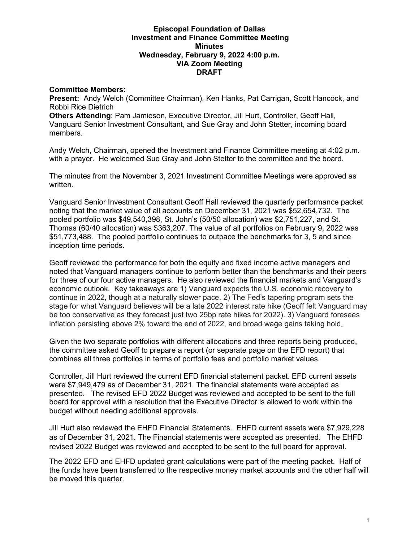### **Episcopal Foundation of Dallas Investment and Finance Committee Meeting Minutes Wednesday, February 9, 2022 4:00 p.m. VIA Zoom Meeting DRAFT**

### **Committee Members:**

**Present:** Andy Welch (Committee Chairman), Ken Hanks, Pat Carrigan, Scott Hancock, and Robbi Rice Dietrich

**Others Attending**: Pam Jamieson, Executive Director, Jill Hurt, Controller, Geoff Hall, Vanguard Senior Investment Consultant, and Sue Gray and John Stetter, incoming board members.

Andy Welch, Chairman, opened the Investment and Finance Committee meeting at 4:02 p.m. with a prayer. He welcomed Sue Gray and John Stetter to the committee and the board.

The minutes from the November 3, 2021 Investment Committee Meetings were approved as written.

Vanguard Senior Investment Consultant Geoff Hall reviewed the quarterly performance packet noting that the market value of all accounts on December 31, 2021 was \$52,654,732. The pooled portfolio was \$49,540,398, St. John's (50/50 allocation) was \$2,751,227, and St. Thomas (60/40 allocation) was \$363,207. The value of all portfolios on February 9, 2022 was \$51,773,488. The pooled portfolio continues to outpace the benchmarks for 3, 5 and since inception time periods.

Geoff reviewed the performance for both the equity and fixed income active managers and noted that Vanguard managers continue to perform better than the benchmarks and their peers for three of our four active managers. He also reviewed the financial markets and Vanguard's economic outlook. Key takeaways are 1) Vanguard expects the U.S. economic recovery to continue in 2022, though at a naturally slower pace. 2) The Fed's tapering program sets the stage for what Vanguard believes will be a late 2022 interest rate hike (Geoff felt Vanguard may be too conservative as they forecast just two 25bp rate hikes for 2022). 3) Vanguard foresees inflation persisting above 2% toward the end of 2022, and broad wage gains taking hold.

Given the two separate portfolios with different allocations and three reports being produced, the committee asked Geoff to prepare a report (or separate page on the EFD report) that combines all three portfolios in terms of portfolio fees and portfolio market values.

Controller, Jill Hurt reviewed the current EFD financial statement packet. EFD current assets were \$7,949,479 as of December 31, 2021. The financial statements were accepted as presented. The revised EFD 2022 Budget was reviewed and accepted to be sent to the full board for approval with a resolution that the Executive Director is allowed to work within the budget without needing additional approvals.

Jill Hurt also reviewed the EHFD Financial Statements. EHFD current assets were \$7,929,228 as of December 31, 2021. The Financial statements were accepted as presented. The EHFD revised 2022 Budget was reviewed and accepted to be sent to the full board for approval.

The 2022 EFD and EHFD updated grant calculations were part of the meeting packet. Half of the funds have been transferred to the respective money market accounts and the other half will be moved this quarter.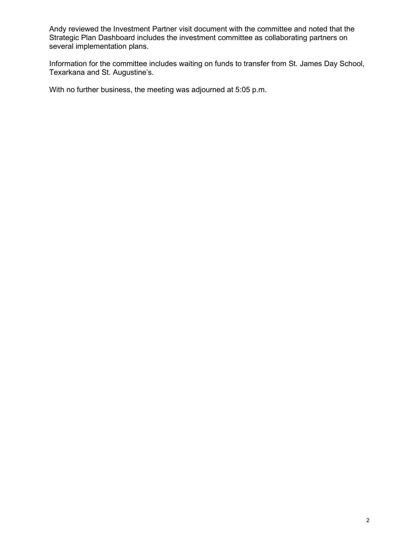Andy reviewed the Investment Partner visit document with the committee and noted that the Strategic Plan Dashboard includes the investment committee as collaborating partners on several implementation plans.

Information for the committee includes waiting on funds to transfer from St. James Day School, Texarkana and St. Augustine's.

With no further business, the meeting was adjourned at 5:05 p.m.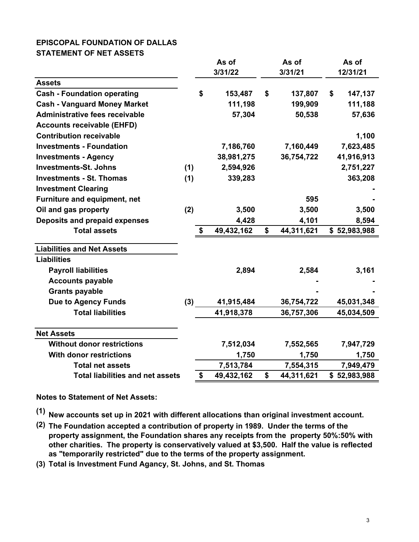## **EPISCOPAL FOUNDATION OF DALLAS STATEMENT OF NET ASSETS**

|                                         |         | As of             |            | As of   |            | As of    |              |
|-----------------------------------------|---------|-------------------|------------|---------|------------|----------|--------------|
|                                         | 3/31/22 |                   |            | 3/31/21 |            | 12/31/21 |              |
| <b>Assets</b>                           |         |                   |            |         |            |          |              |
| <b>Cash - Foundation operating</b>      |         | \$                | 153,487    | \$      | 137,807    | \$       | 147,137      |
| <b>Cash - Vanguard Money Market</b>     |         |                   | 111,198    |         | 199,909    |          | 111,188      |
| Administrative fees receivable          |         |                   | 57,304     |         | 50,538     |          | 57,636       |
| <b>Accounts receivable (EHFD)</b>       |         |                   |            |         |            |          |              |
| <b>Contribution receivable</b>          |         |                   |            |         |            |          | 1,100        |
| <b>Investments - Foundation</b>         |         |                   | 7,186,760  |         | 7,160,449  |          | 7,623,485    |
| <b>Investments - Agency</b>             |         |                   | 38,981,275 |         | 36,754,722 |          | 41,916,913   |
| <b>Investments-St. Johns</b>            | (1)     |                   | 2,594,926  |         |            |          | 2,751,227    |
| <b>Investments - St. Thomas</b>         | (1)     |                   | 339,283    |         |            |          | 363,208      |
| <b>Investment Clearing</b>              |         |                   |            |         |            |          |              |
| Furniture and equipment, net            |         |                   |            |         | 595        |          |              |
| Oil and gas property                    | (2)     |                   | 3,500      |         | 3,500      |          | 3,500        |
| Deposits and prepaid expenses           |         |                   | 4,428      |         | 4,101      |          | 8,594        |
| <b>Total assets</b>                     |         | \$                | 49,432,162 | \$      | 44,311,621 |          | \$52,983,988 |
| <b>Liabilities and Net Assets</b>       |         |                   |            |         |            |          |              |
| <b>Liabilities</b>                      |         |                   |            |         |            |          |              |
| <b>Payroll liabilities</b>              |         |                   | 2,894      |         | 2,584      |          | 3,161        |
| <b>Accounts payable</b>                 |         |                   |            |         |            |          |              |
| <b>Grants payable</b>                   |         |                   |            |         |            |          |              |
| <b>Due to Agency Funds</b>              | (3)     |                   | 41,915,484 |         | 36,754,722 |          | 45,031,348   |
| <b>Total liabilities</b>                |         |                   | 41,918,378 |         | 36,757,306 |          | 45,034,509   |
| <b>Net Assets</b>                       |         |                   |            |         |            |          |              |
| <b>Without donor restrictions</b>       |         |                   | 7,512,034  |         | 7,552,565  |          | 7,947,729    |
| <b>With donor restrictions</b>          |         |                   | 1,750      |         | 1,750      |          | 1,750        |
| <b>Total net assets</b>                 |         |                   | 7,513,784  |         | 7,554,315  |          | 7,949,479    |
| <b>Total liabilities and net assets</b> |         | $\boldsymbol{\$}$ | 49,432,162 | \$      | 44,311,621 |          | \$52,983,988 |

**Notes to Statement of Net Assets:**

**(1) New accounts set up in 2021 with different allocations than original investment account.**

- **(2) The Foundation accepted a contribution of property in 1989. Under the terms of the property assignment, the Foundation shares any receipts from the property 50%:50% with other charities. The property is conservatively valued at \$3,500. Half the value is reflected as "temporarily restricted" due to the terms of the property assignment.**
- **(3) Total is Investment Fund Agancy, St. Johns, and St. Thomas**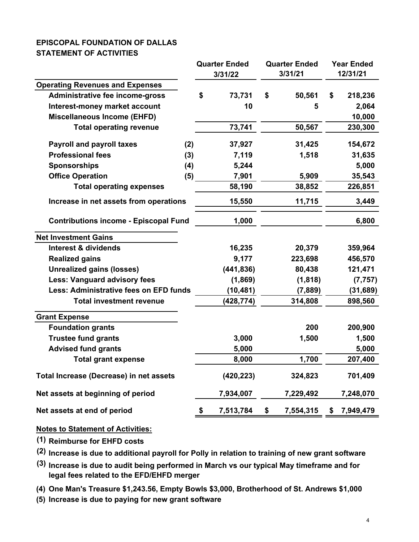# **EPISCOPAL FOUNDATION OF DALLAS STATEMENT OF ACTIVITIES**

|                                              |     | <b>Quarter Ended</b> |            | <b>Quarter Ended</b><br>3/31/21 | <b>Year Ended</b><br>12/31/21 |                  |
|----------------------------------------------|-----|----------------------|------------|---------------------------------|-------------------------------|------------------|
| <b>Operating Revenues and Expenses</b>       |     |                      | 3/31/22    |                                 |                               |                  |
| Administrative fee income-gross              |     | \$                   | 73,731     | \$<br>50,561                    | \$                            |                  |
| Interest-money market account                |     |                      | 10         |                                 |                               | 218,236<br>2,064 |
| <b>Miscellaneous Income (EHFD)</b>           |     |                      |            | 5                               |                               |                  |
| <b>Total operating revenue</b>               |     |                      | 73,741     | 50,567                          |                               | 10,000           |
|                                              |     |                      |            |                                 |                               | 230,300          |
| <b>Payroll and payroll taxes</b>             | (2) |                      | 37,927     | 31,425                          |                               | 154,672          |
| <b>Professional fees</b>                     | (3) |                      | 7,119      | 1,518                           |                               | 31,635           |
| <b>Sponsorships</b>                          | (4) |                      | 5,244      |                                 |                               | 5,000            |
| <b>Office Operation</b>                      | (5) |                      | 7,901      | 5,909                           |                               | 35,543           |
| <b>Total operating expenses</b>              |     |                      | 58,190     | 38,852                          |                               | 226,851          |
| Increase in net assets from operations       |     |                      | 15,550     | 11,715                          |                               | 3,449            |
| <b>Contributions income - Episcopal Fund</b> |     |                      | 1,000      |                                 |                               | 6,800            |
| <b>Net Investment Gains</b>                  |     |                      |            |                                 |                               |                  |
| <b>Interest &amp; dividends</b>              |     |                      | 16,235     | 20,379                          |                               | 359,964          |
| <b>Realized gains</b>                        |     |                      | 9,177      | 223,698                         |                               | 456,570          |
| <b>Unrealized gains (losses)</b>             |     |                      | (441, 836) | 80,438                          |                               | 121,471          |
| <b>Less: Vanguard advisory fees</b>          |     |                      | (1,869)    | (1, 818)                        |                               | (7, 757)         |
| Less: Administrative fees on EFD funds       |     |                      | (10, 481)  | (7,889)                         |                               | (31, 689)        |
| <b>Total investment revenue</b>              |     |                      | (428, 774) | 314,808                         |                               | 898,560          |
| <b>Grant Expense</b>                         |     |                      |            |                                 |                               |                  |
| <b>Foundation grants</b>                     |     |                      |            | 200                             |                               | 200,900          |
| <b>Trustee fund grants</b>                   |     |                      | 3,000      | 1,500                           |                               | 1,500            |
| <b>Advised fund grants</b>                   |     |                      | 5,000      |                                 |                               | 5,000            |
| <b>Total grant expense</b>                   |     |                      | 8,000      | 1,700                           |                               | 207,400          |
| Total Increase (Decrease) in net assets      |     |                      | (420, 223) | 324,823                         |                               | 701,409          |
| Net assets at beginning of period            |     |                      | 7,934,007  | 7,229,492                       |                               | 7,248,070        |
| Net assets at end of period                  |     | \$                   | 7,513,784  | \$<br>7,554,315                 | \$                            | 7,949,479        |

## **Notes to Statement of Activities:**

**(1) Reimburse for EHFD costs**

**(2) Increase is due to additional payroll for Polly in relation to training of new grant software**

**(3) Increase is due to audit being performed in March vs our typical May timeframe and for legal fees related to the EFD/EHFD merger**

**(4) One Man's Treasure \$1,243.56, Empty Bowls \$3,000, Brotherhood of St. Andrews \$1,000**

**(5) Increase is due to paying for new grant software**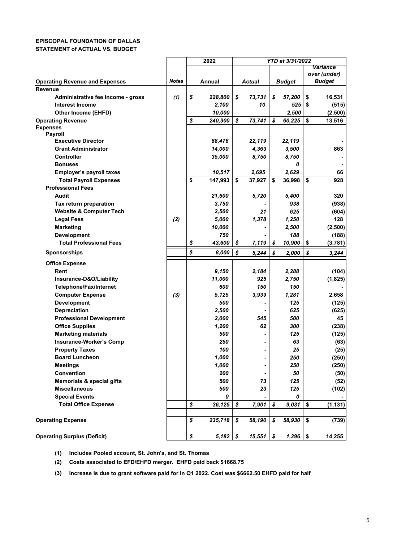#### **EPISCOPAL FOUNDATION OF DALLAS STATEMENT of ACTUAL VS. BUDGET**

|                                       |              | 2022             |              |    | YTD at 3/31/2022 |                 |
|---------------------------------------|--------------|------------------|--------------|----|------------------|-----------------|
|                                       |              |                  |              |    |                  | <b>Variance</b> |
|                                       |              |                  |              |    |                  | over (under)    |
| <b>Operating Revenue and Expenses</b> | <b>Notes</b> | Annual           | Actual       |    | <b>Budget</b>    | <b>Budget</b>   |
| Revenue                               |              |                  |              |    |                  |                 |
| Administrative fee income - gross     | (1)          | \$<br>228,800    | \$<br>73,731 | \$ | 57,200           | \$<br>16,531    |
| <b>Interest Income</b>                |              | 2,100            | 10           |    | 525              | \$<br>(515)     |
| Other Income (EHFD)                   |              | 10,000           |              |    | 2,500            | (2,500)         |
| <b>Operating Revenue</b>              |              | \$<br>240,900    | \$<br>73,741 | \$ | 60,225           | \$<br>13,516    |
| <b>Expenses</b>                       |              |                  |              |    |                  |                 |
| Payroll                               |              |                  |              |    |                  |                 |
| <b>Executive Director</b>             |              | 88,476           | 22,119       |    | 22,119           |                 |
| <b>Grant Administrator</b>            |              | 14,000           | 4,363        |    | 3,500            | 863             |
| <b>Controller</b>                     |              | 35,000           | 8,750        |    | 8,750            |                 |
| <b>Bonuses</b>                        |              |                  |              |    | 0                |                 |
| <b>Employer's payroll taxes</b>       |              | 10,517           | 2,695        |    | 2,629            | 66              |
| <b>Total Payroll Expenses</b>         |              | \$<br>147,993    | \$<br>37,927 | \$ | 36,998           | \$<br>928       |
| <b>Professional Fees</b>              |              |                  |              |    |                  |                 |
| Audit                                 |              | 21,600           | 5,720        |    | 5,400            | 320             |
| Tax return preparation                |              | 3,750            |              |    | 938              | (938)           |
| <b>Website &amp; Computer Tech</b>    |              | 2,500            | 21           |    | 625              | (604)           |
| <b>Legal Fees</b>                     | (2)          | 5,000            | 1,378        |    | 1,250            | 128             |
| <b>Marketing</b>                      |              | 10,000           |              |    | 2,500            | (2,500)         |
| <b>Development</b>                    |              | 750              |              |    | 188              | (188)           |
| <b>Total Professional Fees</b>        |              | \$<br>43,600     | \$<br>7,119  | \$ | 10,900           | \$<br>(3,781)   |
| <b>Sponsorships</b>                   |              | \$<br>8,000      | \$<br>5,244  | \$ | 2,000            | \$<br>3,244     |
| <b>Office Expense</b>                 |              |                  |              |    |                  |                 |
| Rent                                  |              | 9,150            | 2,184        |    | 2,288            | (104)           |
| Insurance-D&O/Liability               |              | 11,000           | 925          |    | 2,750            | (1,825)         |
| <b>Telephone/Fax/Internet</b>         |              | 600              | 150          |    | 150              |                 |
| <b>Computer Expense</b>               | $(3)$        | 5,125            | 3,939        |    | 1,281            | 2,658           |
| <b>Development</b>                    |              | 500              |              |    | 125              | (125)           |
| <b>Depreciation</b>                   |              | 2,500            |              |    | 625              | (625)           |
| <b>Professional Development</b>       |              | 2,000            | 545          |    | 500              | 45              |
| <b>Office Supplies</b>                |              | 1,200            | 62           |    | 300              | (238)           |
| <b>Marketing materials</b>            |              | 500              |              |    | 125              | (125)           |
| <b>Insurance-Worker's Comp</b>        |              | 250              |              |    | 63               | (63)            |
| <b>Property Taxes</b>                 |              | 100              |              |    | 25               | (25)            |
| <b>Board Luncheon</b>                 |              | 1,000            |              |    | 250              | (250)           |
| <b>Meetings</b>                       |              | 1,000            |              |    | 250              | (250)           |
| <b>Convention</b>                     |              | 200              |              |    | 50               | (50)            |
| <b>Memorials &amp; special gifts</b>  |              | 500              | 73           |    | 125              | (52)            |
| <b>Miscellaneous</b>                  |              | 500              | 23           |    | 125              | (102)           |
| <b>Special Events</b>                 |              | 0                |              |    | 0                |                 |
| <b>Total Office Expense</b>           |              | \$<br>36,125     | \$<br>7,901  | S  | 9,031            | \$<br>(1, 131)  |
|                                       |              |                  |              |    |                  |                 |
| <b>Operating Expense</b>              |              | \$<br>235,718    | \$<br>58,190 | \$ | 58,930           | \$<br>(739)     |
|                                       |              |                  |              |    |                  |                 |
| <b>Operating Surplus (Deficit)</b>    |              | \$<br>$5,182$ \$ | 15,551       | \$ | $1,296$ \$       | 14,255          |

**(1) Includes Pooled account, St. John's, and St. Thomas**

**(2) Costs associated to EFD/EHFD merger. EHFD paid back \$1668.75**

**(3) Increase is due to grant software paid for in Q1 2022. Cost was \$6662.50 EHFD paid for half**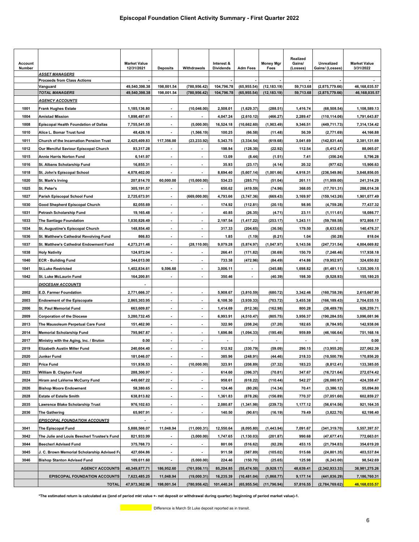| Account<br>Number |                                                | <b>Market Value</b><br>12/31/2021 | <b>Deposits</b>          | Withdrawals              | Interest &<br><b>Dividends</b> | <b>Adm Fees</b>          | <b>Money Mgr</b><br>Fees | Realized<br>Gains/<br>(Losses) | Unrealized<br>Gains/ (Losses) | <b>Market Value</b><br>3/31/2022 |
|-------------------|------------------------------------------------|-----------------------------------|--------------------------|--------------------------|--------------------------------|--------------------------|--------------------------|--------------------------------|-------------------------------|----------------------------------|
|                   | <u>ASSET MANAGERS</u>                          |                                   |                          |                          |                                |                          |                          |                                |                               |                                  |
|                   | <b>Proceeds from Class Actions</b><br>Vanguard | 49,540,398.38                     | 198,001.54               | (780, 956.42)            | 104,796.78                     | (65, 955.54)             | (12, 183.19)             | 59,713.68                      | (2,875,779.66)                | 46,168,035.57                    |
|                   | <b>TOTAL MANAGERS</b>                          | 49,540,398.38                     | 198,001.54               | (780, 956.42)            | 104,796.78                     | (65,955.54)              | (12, 183.19)             | 59,713.68                      | (2,875,779.66)                | 46,168,035.57                    |
|                   | <u>AGENCY ACCOUNTS</u>                         |                                   |                          |                          |                                |                          |                          |                                |                               |                                  |
| 1001              | Frank Hughes Estate                            | 1,185,136.80                      | $\overline{\phantom{a}}$ | (10, 046.00)             | 2,508.01                       | (1,629.37)               | (288.51)                 | 1,416.74                       | (68, 508.54)                  | 1,108,589.13                     |
| 1004              | <b>Amistad Mission</b>                         | 1.898.497.61                      | $\blacksquare$           | $\blacksquare$           | 4,047.24                       | (2,610.12)               | (466.27)                 | 2,289.47                       | (110, 114.06)                 | 1,791,643.87                     |
| 1008              | <b>Episcopal Health Foundation of Dallas</b>   | 7,755,541.55                      | $\overline{\phantom{a}}$ | (5,000.00)               | 16,524.18                      | (10, 662.60)             | (1,903.49)               | 9,346.51                       | (449, 711.73)                 | 7,314,134.42                     |
| 1010              | Alice L. Bomar Trust fund                      | 48,426.18                         | $\overline{\phantom{a}}$ | (1, 566.19)              | 100.25                         | (66.58)                  | (11.48)                  | 56.39                          | (2,771.69)                    | 44,166.88                        |
| 1011              | Church of the Incarnation Pension Trust        | 2,425,409.83                      | 117,356.00               | (23, 233.92)             | 5,343.75                       | (3, 334.54)              | (619.68)                 | 3,041.69                       | (142, 831.44)                 | 2,381,131.69                     |
| 1012              | Our Merciful Saviour Episcopal Church          | 93,317.28                         | $\blacksquare$           |                          | 198.94                         | (128.30)                 | (22.92)                  | 112.54                         | (5, 412.47)                   | 88,065.07                        |
| 1015              | Annie Harris Norton Fund                       | 6,141.97                          |                          |                          | 13.09                          | (8.44)                   | (1.51)                   | 7.41                           | (356.24)                      | 5,796.28                         |
| 1016              | St. Albans Scholarship Fund                    | 16,855.31                         | $\overline{\phantom{a}}$ |                          | 35.93                          | (23.17)                  | (4.14)                   | 20.32                          | (977.62)                      | 15,906.63                        |
| 1018              | St. John's Episcopal School                    | 4,078,402.00                      | $\blacksquare$           | ٠                        | 8,694.40                       | (5,607.14)               | (1,001.66)               | 4,918.31                       | (236, 549.86)                 | 3,848,856.05                     |
| 1020              | St. Mark's Irving                              | 207,814.70                        | 60,000.00                | (15,000.00)              | 534.23                         | (285.71)                 | (51.04)                  | 261.11                         | (11, 959.00)                  | 241,314.29                       |
| 1025              | St. Peter's                                    | 305,191.57                        |                          |                          | 650.62                         | (419.59)                 | (74.96)                  | 368.05                         | (17, 701.31)                  | 288,014.38                       |
| 1027              | Parish Episcopal School Fund                   | 2,725,673.91                      | ÷,                       | (669,000.00)             | 4,793.66                       | (3,747.36)               | (669.43)                 | 3,169.97                       | (159,143.26)                  | 1,901,077.49                     |
| 1030              | Good Shepherd Episcopal Church                 | 82,055.69                         | $\blacksquare$           |                          | 174.92                         | (112.81)                 | (20.15)                  | 98.95                          | (4,759.28)                    | 77,437.32                        |
| 1031              | Petrash Scholarship Fund                       | 19,165.48                         | $\blacksquare$           | $\blacksquare$           | 40.85                          | (26.35)                  | (4.71)                   | 23.11                          | (1, 111.61)                   | 18,086.77                        |
| 1033              | The Santiago Foundation                        | 1,030,826.49                      | $\blacksquare$           | $\overline{\phantom{a}}$ | 2,197.54                       | (1, 417.22)              | (253.17)                 | 1,243.11                       | (59, 788.58)                  | 972,808.17                       |
| 1034              | St. Augustine's Episcopal Church               | 148,854.40                        |                          |                          | 317.33                         | (204.65)                 | (36.56)                  | 179.50                         | (8,633.65)                    | 140,476.37                       |
| 1036              | St. Matthew's Cathedral Revolving Fund         | 866.83                            | $\blacksquare$           | $\overline{a}$           | 1.85                           | (1.19)                   | (0.21)                   | 1.04                           | (50.28)                       | 818.04                           |
| 1037              | St. Matthew's Cathedral Endowment Fund         | 4,273,211.46                      | $\blacksquare$           | (28, 110.00)             | 9,079.28                       | (5,874.97)               | (1,047.97)               | 5,143.56                       | (247, 731.54)                 | 4,004,669.82                     |
| 1038              | <b>Holy Nativity</b>                           | 124,972.04                        | $\blacksquare$           |                          | 266.41                         | (171.82)                 | (30.69)                  | 150.70                         | (7, 248.46)                   | 117,938.18                       |
| 1040              | <b>ECR - Building Fund</b>                     | 344,013.00                        | $\blacksquare$           | ä,                       | 733.38                         | (472.96)                 | (84.49)                  | 414.86                         | (19, 952.97)                  | 324,650.82                       |
| 1041              | <b>St.Luke Restricted</b>                      | 1,402,834.61                      | 9,596.60                 | ٠                        | 3,006.11                       |                          | (345.88)                 | 1,698.82                       | (81, 481.11)                  | 1,335,309.15                     |
| 1042              | St. Luke McLaurin Fund                         | 164,200.81                        | $\blacksquare$           | $\blacksquare$           | 350.46                         | $\overline{\phantom{a}}$ | (40.39)                  | 198.30                         | (9,528.93)                    | 155,180.25                       |
|                   | <b>DIOCESAN ACCOUNTS</b>                       |                                   |                          |                          |                                |                          |                          |                                |                               |                                  |
| 2002              | E.D. Farmer Foundation                         | 2,771,666.37                      | $\blacksquare$           | $\overline{\phantom{a}}$ | 5,908.67                       | (3,810.59)               | (680.72)                 | 3,342.46                       | (160, 758.39)                 | 2,615,667.80                     |
| 2003              | <b>Endowment of the Episcopate</b>             | 2,865,303.95                      | $\blacksquare$           |                          | 6,108.30                       | (3,939.33)               | (703.72)                 | 3,455.38                       | (166,189.43)                  | 2,704,035.15                     |
| 2006              | St. Paul Memorial Fund                         | 663,609.87                        |                          |                          | 1,414.69                       | (912.36)                 | (162.98)                 | 800.28                         | (38, 489.79)                  | 626,259.71                       |
| 2009              | <b>Corporation of the Diocese</b>              | 3,280,732.45                      | $\blacksquare$           |                          | 6,993.91                       | (4, 510.47)              | (805.75)                 | 3,956.37                       | (190,284.55)                  | 3,096,081.96                     |
| 2013              | The Mausoleum Perpetual Care Fund              | 151,462.90                        | $\blacksquare$           |                          | 322.90                         | (208.24)                 | (37.20)                  | 182.65                         | (8,784.95)                    | 142,938.06                       |
| 2014              | <b>Memorial Scholarship Fund</b>               | 795,967.87                        | $\blacksquare$           | $\overline{\phantom{a}}$ | 1,696.86                       | (1,094.33)               | (195.49)                 | 959.89                         | (46, 166.64)                  | 751,168.16                       |
| 2017              | Ministry with the Aging, Inc. / Bruton         | 0.00                              | $\blacksquare$           |                          |                                |                          |                          |                                |                               | 0.00                             |
| 2019              | <b>Elizabeth Austin Miller Fund</b>            | 240,604.40                        | $\overline{\phantom{a}}$ |                          | 512.92                         | (330.79)                 | (59.09)                  | 290.15                         | (13,955.20)                   | 227,062.39                       |
| 2020              | Junker Fund                                    | 181,046.07                        | $\overline{\phantom{a}}$ | $\blacksquare$           | 385.96                         | (248.91)                 | (44.46)                  | 218.33                         | (10,500.79)                   | 170,856.20                       |
| 2021              | Price Fund                                     | 151,936.53                        | $\overline{\phantom{a}}$ | (10,000.00)              | 323.91                         | (208.89)                 | (37.32)                  | 183.23                         | (8,812.41)                    | 133,385.05                       |
| 2023              | William B. Clayton Fund                        | 288,300.97                        | $\overline{\phantom{a}}$ |                          | 614.60                         | (396.37)                 | (70.81)                  | 347.67                         | (16, 721.64)                  | 272,074.42                       |
| 2024              | Hiram and LaVerne McCurry Fund                 | 449,667.22                        | $\blacksquare$           |                          | 958.61                         | (618.22)                 | (110.44)                 | 542.27                         | (26,080.97)                   | 424,358.47                       |
| 2026              | <b>Bishop Moore Endowment</b>                  | 58,380.65                         |                          |                          | 124.46                         | (80.26)                  | (14.34)                  | 70.41                          | (3,386.12)                    | 55,094.80                        |
| 2028              | <b>Estate of Estelle Smith</b>                 | 638,813.82                        | $\overline{\phantom{a}}$ |                          | 1,361.83                       | (878.26)                 | (156.89)                 | 770.37                         | (37,051.60)                   | 602,859.27                       |
| 2035              | Lawrence Blake Scholarship Trust               | 976,102.63                        | $\blacksquare$           | $\blacksquare$           | 2,080.87                       | (1, 341.98)              | (239.73)                 | 1,177.12                       | (56, 614.56)                  | 921,164.35                       |
| 2036              | The Gathering                                  | 65,907.91                         | $\blacksquare$           | $\overline{a}$           | 140.50                         | (90.61)                  | (16.19)                  | 79.49                          | (3,822.70)                    | 62,198.40                        |
|                   | <b>EPISCOPAL FOUNDATION ACCOUNTS</b>           |                                   |                          |                          |                                |                          |                          |                                |                               |                                  |
| 3041              | The Episcopal Fund                             | 5,888,566.07                      | 11,048.94                | (11,000.31)              | 12,550.64                      | (8,095.80)               | (1,443.94)               | 7,091.67                       | (341, 319.70)                 | 5,557,397.57                     |
| 3042              | The Julie and Louis Beecherl Trustee's Fund    | 821,933.99                        | $\overline{\phantom{a}}$ | (3,000.00)               | 1,747.65                       | (1, 130.03)              | (201.87)                 | 990.68                         | (47, 677.41)                  | 772,663.01                       |
| 3044              | <b>Beecherl Advised Fund</b>                   | 375,768.73                        | $\overline{\phantom{a}}$ | $\blacksquare$           | 801.06                         | (516.62)                 | (92.29)                  | 453.15                         | (21, 794.83)                  | 354,619.20                       |
| 3045              | J. C. Brown Memorial Scholarship Advised Fu    | 427,604.86                        | $\overline{\phantom{a}}$ |                          | 911.58                         | (587.89)                 | (105.02)                 | 515.66                         | (24, 801.35)                  | 403,537.84                       |
| 3046              | <b>Bishop Stanton Advised Fund</b>             | 109,611.60                        |                          | (5,000.00)               | 224.46                         | (150.70)                 | (25.65)                  | 125.98                         | (6, 243.00)                   | 98,542.69                        |
|                   | <b>AGENCY ACCOUNTS</b>                         | 40,349,877.71                     | 186,952.60               | (761, 956.11)            | 85,204.85                      | (55, 474.50)             | (9,928.17)               | 48,639.41                      | (2,342,933.33)                | 38,981,275.26                    |
|                   | <b>EPISCOPAL FOUNDATION ACCOUNTS</b>           | 7,623,485.25                      | 11,048.94                | (19,000.31)              | 16,235.39                      | (10, 481.04)             | (1,868.77)               | 9,177.14                       | (441, 836.29)                 | 7,186,760.31                     |
|                   | <b>TOTAL</b>                                   | 47,973,362.96                     | 198,001.54               | (780, 956.42)            | 101,440.24                     | (65, 955.54)             | (11, 796.94)             | 57,816.55                      | (2,784,769.62)                | 46,168,035.57                    |

**\*The estimated return is calculated as ((end of period mkt value +- net deposit or withdrawal during quarter) /beginning of period market value)-1.**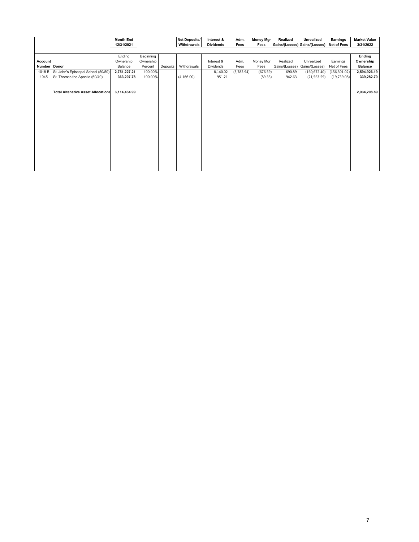|              |                                           | <b>Month End</b> |           |          | Net Deposits/ | Interest &       | Adm.       | <b>Money Mgr</b> | Realized       | Unrealized                    | Earnings      | <b>Market Value</b> |
|--------------|-------------------------------------------|------------------|-----------|----------|---------------|------------------|------------|------------------|----------------|-------------------------------|---------------|---------------------|
|              |                                           | 12/31/2021       |           |          | Withdrawals   | <b>Dividends</b> | Fees       | Fees             |                | Gains/(Losses) Gains/(Losses) | Net of Fees   | 3/31/2022           |
|              |                                           |                  |           |          |               |                  |            |                  |                |                               |               |                     |
|              |                                           | Ending           | Beginning |          |               |                  |            |                  |                |                               |               | Ending              |
| Account      |                                           | Ownership        | Ownership |          |               | Interest &       | Adm.       | Money Mgr        | Realized       | Unrealized                    | Earnings      | Ownership           |
| Number Donor |                                           | Balance          | Percent   | Deposits | Withdrawals   | Dividends        | Fees       | Fees             | Gains/(Losses) | Gains/(Losses)                | Net of Fees   | <b>Balance</b>      |
| 1018 B       | St. John's Episcopal School (50/50)       | 2,751,227.21     | 100.00%   |          |               | 8,140.02         | (3,782.94) | (676.59)         | 690.89         | (160, 672.40)                 | (156, 301.02) | 2,594,926.19        |
| 1045         | St. Thomas the Apostle (60/40)            | 363,207.78       | 100.00%   |          | (4, 166.00)   | 951.21           |            | (89.33)          | 942.63         | (21, 563.59)                  | (19,759.08)   | 339,282.70          |
|              |                                           |                  |           |          |               |                  |            |                  |                |                               |               |                     |
|              |                                           |                  |           |          |               |                  |            |                  |                |                               |               |                     |
|              | <b>Total Altenative Asset Allocations</b> | 3,114,434.99     |           |          |               |                  |            |                  |                |                               |               | 2,934,208.89        |
|              |                                           |                  |           |          |               |                  |            |                  |                |                               |               |                     |
|              |                                           |                  |           |          |               |                  |            |                  |                |                               |               |                     |
|              |                                           |                  |           |          |               |                  |            |                  |                |                               |               |                     |
|              |                                           |                  |           |          |               |                  |            |                  |                |                               |               |                     |
|              |                                           |                  |           |          |               |                  |            |                  |                |                               |               |                     |
|              |                                           |                  |           |          |               |                  |            |                  |                |                               |               |                     |
|              |                                           |                  |           |          |               |                  |            |                  |                |                               |               |                     |
|              |                                           |                  |           |          |               |                  |            |                  |                |                               |               |                     |
|              |                                           |                  |           |          |               |                  |            |                  |                |                               |               |                     |
|              |                                           |                  |           |          |               |                  |            |                  |                |                               |               |                     |
|              |                                           |                  |           |          |               |                  |            |                  |                |                               |               |                     |
|              |                                           |                  |           |          |               |                  |            |                  |                |                               |               |                     |
|              |                                           |                  |           |          |               |                  |            |                  |                |                               |               |                     |
|              |                                           |                  |           |          |               |                  |            |                  |                |                               |               |                     |
|              |                                           |                  |           |          |               |                  |            |                  |                |                               |               |                     |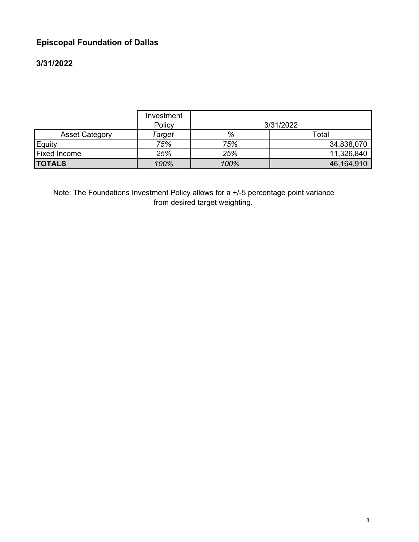# **Episcopal Foundation of Dallas**

# **3/31/2022**

|                       | Investment<br>Policy |      | 3/31/2022  |
|-----------------------|----------------------|------|------------|
| <b>Asset Category</b> | Target               | %    | Total      |
| Equity                | 75%                  | 75%  | 34,838,070 |
| <b>Fixed Income</b>   | 25%                  | 25%  | 11,326,840 |
| <b>TOTALS</b>         | 100%                 | 100% | 46,164,910 |

Note: The Foundations Investment Policy allows for a +/-5 percentage point variance from desired target weighting.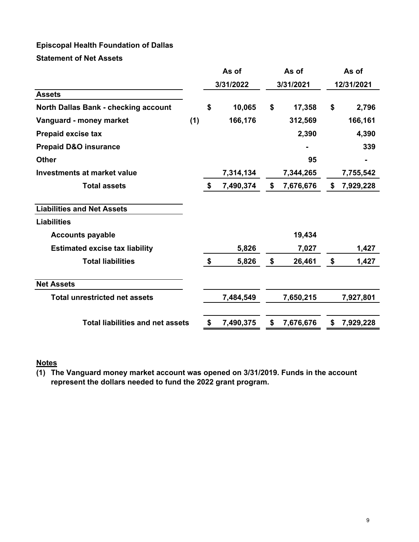# **Episcopal Health Foundation of Dallas**

**Statement of Net Assets**

|                                             | As of     |    | As of     | As of           |            |           |
|---------------------------------------------|-----------|----|-----------|-----------------|------------|-----------|
|                                             | 3/31/2022 |    | 3/31/2021 |                 | 12/31/2021 |           |
| <b>Assets</b>                               |           |    |           |                 |            |           |
| <b>North Dallas Bank - checking account</b> |           | \$ | 10,065    | \$<br>17,358    | \$         | 2,796     |
| Vanguard - money market                     | (1)       |    | 166,176   | 312,569         |            | 166,161   |
| <b>Prepaid excise tax</b>                   |           |    |           | 2,390           |            | 4,390     |
| <b>Prepaid D&amp;O insurance</b>            |           |    |           |                 |            | 339       |
| <b>Other</b>                                |           |    |           | 95              |            |           |
| <b>Investments at market value</b>          |           |    | 7,314,134 | 7,344,265       |            | 7,755,542 |
| <b>Total assets</b>                         |           | \$ | 7,490,374 | \$<br>7,676,676 | \$         | 7,929,228 |
| <b>Liabilities and Net Assets</b>           |           |    |           |                 |            |           |
| <b>Liabilities</b>                          |           |    |           |                 |            |           |
| <b>Accounts payable</b>                     |           |    |           | 19,434          |            |           |
| <b>Estimated excise tax liability</b>       |           |    | 5,826     | 7,027           |            | 1,427     |
| <b>Total liabilities</b>                    |           | \$ | 5,826     | \$<br>26,461    | \$         | 1,427     |
| <b>Net Assets</b>                           |           |    |           |                 |            |           |
| <b>Total unrestricted net assets</b>        |           |    | 7,484,549 | 7,650,215       |            | 7,927,801 |
| <b>Total liabilities and net assets</b>     |           | \$ | 7,490,375 | \$<br>7,676,676 | \$         | 7,929,228 |

# **Notes**

**(1) The Vanguard money market account was opened on 3/31/2019. Funds in the account represent the dollars needed to fund the 2022 grant program.**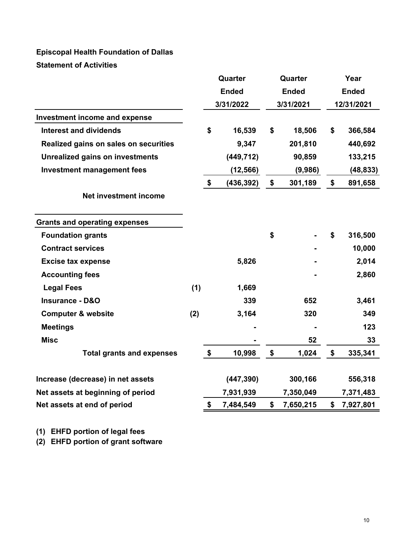# **Episcopal Health Foundation of Dallas Statement of Activities**

| <b>Ended</b><br><b>Ended</b><br><b>Ended</b><br>3/31/2022<br>3/31/2021<br>12/31/2021<br><b>Investment income and expense</b><br><b>Interest and dividends</b><br>\$<br>16,539<br>\$<br>18,506<br>\$<br>9,347<br>201,810<br>Realized gains on sales on securities<br>90,859<br><b>Unrealized gains on investments</b><br>(449, 712)<br><b>Investment management fees</b><br>(12, 566)<br>(9,986)<br>\$<br>301,189<br>(436, 392)<br>\$<br>\$<br>Net investment income<br><b>Grants and operating expenses</b><br>\$<br><b>Foundation grants</b><br>\$<br><b>Contract services</b><br>5,826<br><b>Excise tax expense</b><br><b>Accounting fees</b><br><b>Legal Fees</b><br>(1)<br>1,669<br>339<br>652<br><b>Insurance - D&amp;O</b><br><b>Computer &amp; website</b><br>(2)<br>3,164<br>320 | 366,584<br>440,692<br>133,215<br>(48, 833)<br>891,658 |
|------------------------------------------------------------------------------------------------------------------------------------------------------------------------------------------------------------------------------------------------------------------------------------------------------------------------------------------------------------------------------------------------------------------------------------------------------------------------------------------------------------------------------------------------------------------------------------------------------------------------------------------------------------------------------------------------------------------------------------------------------------------------------------------|-------------------------------------------------------|
|                                                                                                                                                                                                                                                                                                                                                                                                                                                                                                                                                                                                                                                                                                                                                                                          |                                                       |
|                                                                                                                                                                                                                                                                                                                                                                                                                                                                                                                                                                                                                                                                                                                                                                                          |                                                       |
|                                                                                                                                                                                                                                                                                                                                                                                                                                                                                                                                                                                                                                                                                                                                                                                          |                                                       |
|                                                                                                                                                                                                                                                                                                                                                                                                                                                                                                                                                                                                                                                                                                                                                                                          |                                                       |
|                                                                                                                                                                                                                                                                                                                                                                                                                                                                                                                                                                                                                                                                                                                                                                                          |                                                       |
|                                                                                                                                                                                                                                                                                                                                                                                                                                                                                                                                                                                                                                                                                                                                                                                          |                                                       |
|                                                                                                                                                                                                                                                                                                                                                                                                                                                                                                                                                                                                                                                                                                                                                                                          |                                                       |
|                                                                                                                                                                                                                                                                                                                                                                                                                                                                                                                                                                                                                                                                                                                                                                                          |                                                       |
|                                                                                                                                                                                                                                                                                                                                                                                                                                                                                                                                                                                                                                                                                                                                                                                          |                                                       |
|                                                                                                                                                                                                                                                                                                                                                                                                                                                                                                                                                                                                                                                                                                                                                                                          |                                                       |
|                                                                                                                                                                                                                                                                                                                                                                                                                                                                                                                                                                                                                                                                                                                                                                                          | 316,500                                               |
|                                                                                                                                                                                                                                                                                                                                                                                                                                                                                                                                                                                                                                                                                                                                                                                          | 10,000                                                |
|                                                                                                                                                                                                                                                                                                                                                                                                                                                                                                                                                                                                                                                                                                                                                                                          | 2,014                                                 |
|                                                                                                                                                                                                                                                                                                                                                                                                                                                                                                                                                                                                                                                                                                                                                                                          | 2,860                                                 |
|                                                                                                                                                                                                                                                                                                                                                                                                                                                                                                                                                                                                                                                                                                                                                                                          |                                                       |
|                                                                                                                                                                                                                                                                                                                                                                                                                                                                                                                                                                                                                                                                                                                                                                                          | 3,461                                                 |
|                                                                                                                                                                                                                                                                                                                                                                                                                                                                                                                                                                                                                                                                                                                                                                                          | 349                                                   |
| <b>Meetings</b>                                                                                                                                                                                                                                                                                                                                                                                                                                                                                                                                                                                                                                                                                                                                                                          | 123                                                   |
| <b>Misc</b><br>52                                                                                                                                                                                                                                                                                                                                                                                                                                                                                                                                                                                                                                                                                                                                                                        | 33                                                    |
| \$<br>\$<br>1,024<br>\$<br><b>Total grants and expenses</b><br>10,998                                                                                                                                                                                                                                                                                                                                                                                                                                                                                                                                                                                                                                                                                                                    | 335,341                                               |
| (447, 390)<br>300,166<br>Increase (decrease) in net assets                                                                                                                                                                                                                                                                                                                                                                                                                                                                                                                                                                                                                                                                                                                               | 556,318                                               |
| Net assets at beginning of period<br>7,931,939<br>7,350,049<br>7,371,483                                                                                                                                                                                                                                                                                                                                                                                                                                                                                                                                                                                                                                                                                                                 |                                                       |
| \$<br>7,484,549<br>\$<br>\$<br>Net assets at end of period<br>7,650,215<br>7,927,801                                                                                                                                                                                                                                                                                                                                                                                                                                                                                                                                                                                                                                                                                                     |                                                       |

**(1) EHFD portion of legal fees**

**(2) EHFD portion of grant software**